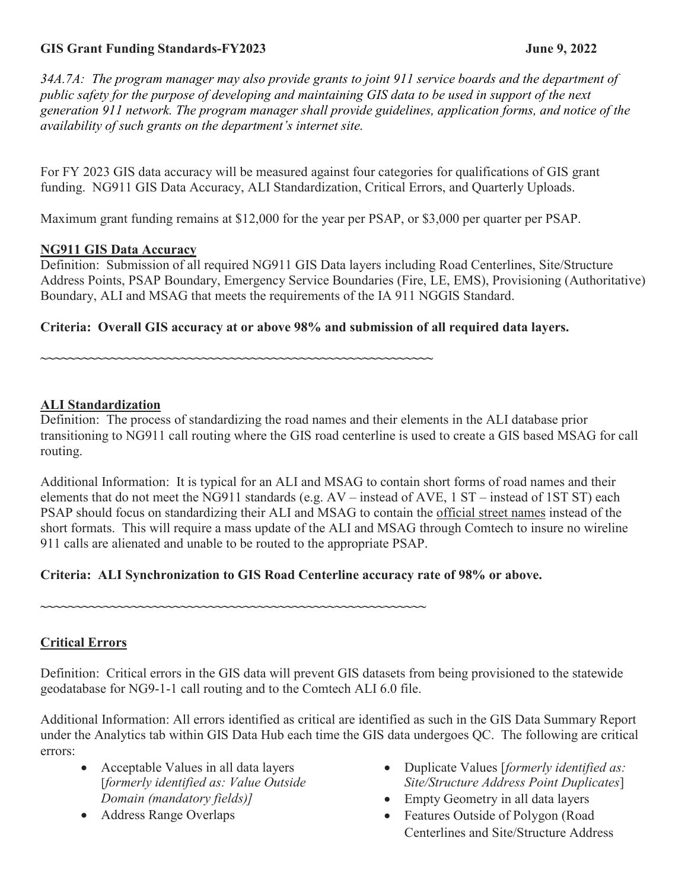## **GIS Grant Funding Standards-FY2023 June 9, 2022**

*34A.7A: The program manager may also provide grants to joint 911 service boards and the department of public safety for the purpose of developing and maintaining GIS data to be used in support of the next generation 911 network. The program manager shall provide guidelines, application forms, and notice of the availability of such grants on the department's internet site.*

For FY 2023 GIS data accuracy will be measured against four categories for qualifications of GIS grant funding. NG911 GIS Data Accuracy, ALI Standardization, Critical Errors, and Quarterly Uploads.

Maximum grant funding remains at \$12,000 for the year per PSAP, or \$3,000 per quarter per PSAP.

#### **NG911 GIS Data Accuracy**

Definition: Submission of all required NG911 GIS Data layers including Road Centerlines, Site/Structure Address Points, PSAP Boundary, Emergency Service Boundaries (Fire, LE, EMS), Provisioning (Authoritative) Boundary, ALI and MSAG that meets the requirements of the IA 911 NGGIS Standard.

### **Criteria: Overall GIS accuracy at or above 98% and submission of all required data layers.**

**~~~~~~~~~~~~~~~~~~~~~~~~~~~~~~~~~~~~~~~~~~~~~~~~~~~~~~~~**

#### **ALI Standardization**

Definition: The process of standardizing the road names and their elements in the ALI database prior transitioning to NG911 call routing where the GIS road centerline is used to create a GIS based MSAG for call routing.

Additional Information: It is typical for an ALI and MSAG to contain short forms of road names and their elements that do not meet the NG911 standards (e.g. AV – instead of AVE, 1 ST – instead of 1ST ST) each PSAP should focus on standardizing their ALI and MSAG to contain the official street names instead of the short formats. This will require a mass update of the ALI and MSAG through Comtech to insure no wireline 911 calls are alienated and unable to be routed to the appropriate PSAP.

### **Criteria: ALI Synchronization to GIS Road Centerline accuracy rate of 98% or above.**

**~~~~~~~~~~~~~~~~~~~~~~~~~~~~~~~~~~~~~~~~~~~~~~~~~~~~~~~**

### **Critical Errors**

Definition: Critical errors in the GIS data will prevent GIS datasets from being provisioned to the statewide geodatabase for NG9-1-1 call routing and to the Comtech ALI 6.0 file.

Additional Information: All errors identified as critical are identified as such in the GIS Data Summary Report under the Analytics tab within GIS Data Hub each time the GIS data undergoes QC. The following are critical errors:

- Acceptable Values in all data layers [*formerly identified as: Value Outside Domain (mandatory fields)]*
- Address Range Overlaps
- Duplicate Values [*formerly identified as: Site/Structure Address Point Duplicates*]
- Empty Geometry in all data layers
- Features Outside of Polygon (Road Centerlines and Site/Structure Address